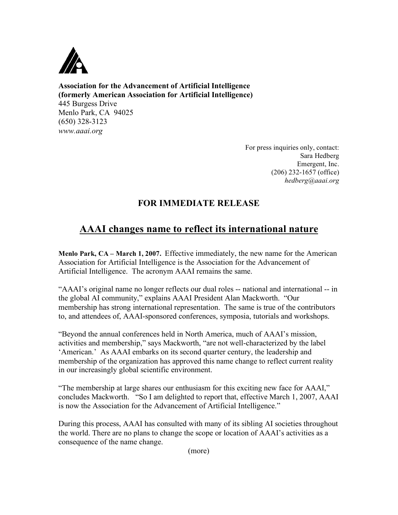

**Association for the Advancement of Artificial Intelligence (formerly American Association for Artificial Intelligence)** 445 Burgess Drive Menlo Park, CA 94025 (650) 328-3123 *www.aaai.org*

> For press inquiries only, contact: Sara Hedberg Emergent, Inc. (206) 232-1657 (office) *hedberg@aaai.org*

## **FOR IMMEDIATE RELEASE**

## **AAAI changes name to reflect its international nature**

**Menlo Park, CA – March 1, 2007.** Effective immediately, the new name for the American Association for Artificial Intelligence is the Association for the Advancement of Artificial Intelligence. The acronym AAAI remains the same.

"AAAI's original name no longer reflects our dual roles -- national and international -- in the global AI community," explains AAAI President Alan Mackworth. "Our membership has strong international representation. The same is true of the contributors to, and attendees of, AAAI-sponsored conferences, symposia, tutorials and workshops.

"Beyond the annual conferences held in North America, much of AAAI's mission, activities and membership," says Mackworth, "are not well-characterized by the label 'American.' As AAAI embarks on its second quarter century, the leadership and membership of the organization has approved this name change to reflect current reality in our increasingly global scientific environment.

"The membership at large shares our enthusiasm for this exciting new face for AAAI," concludes Mackworth. "So I am delighted to report that, effective March 1, 2007, AAAI is now the Association for the Advancement of Artificial Intelligence."

During this process, AAAI has consulted with many of its sibling AI societies throughout the world. There are no plans to change the scope or location of AAAI's activities as a consequence of the name change.

(more)